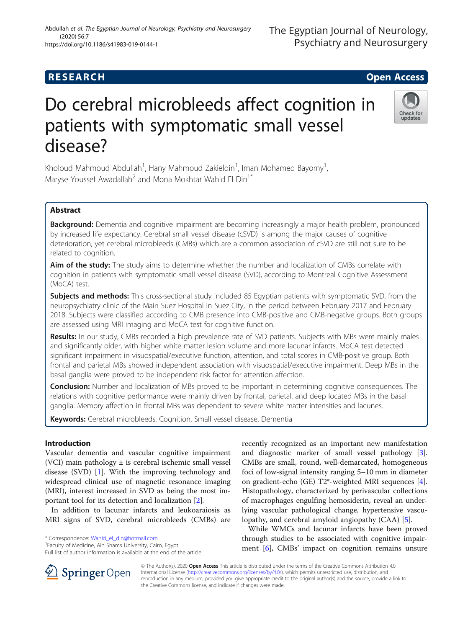# Do cerebral microbleeds affect cognition in patients with symptomatic small vessel disease?

Kholoud Mahmoud Abdullah<sup>1</sup>, Hany Mahmoud Zakieldin<sup>1</sup>, Iman Mohamed Bayomy<sup>1</sup> , Maryse Youssef Awadallah<sup>2</sup> and Mona Mokhtar Wahid El Din<sup>1\*</sup>

## Abstract

Background: Dementia and cognitive impairment are becoming increasingly a major health problem, pronounced by increased life expectancy. Cerebral small vessel disease (cSVD) is among the major causes of cognitive deterioration, yet cerebral microbleeds (CMBs) which are a common association of cSVD are still not sure to be related to cognition.

Aim of the study: The study aims to determine whether the number and localization of CMBs correlate with cognition in patients with symptomatic small vessel disease (SVD), according to Montreal Cognitive Assessment (MoCA) test.

**Subjects and methods:** This cross-sectional study included 85 Egyptian patients with symptomatic SVD, from the neuropsychiatry clinic of the Main Suez Hospital in Suez City, in the period between February 2017 and February 2018. Subjects were classified according to CMB presence into CMB-positive and CMB-negative groups. Both groups are assessed using MRI imaging and MoCA test for cognitive function.

Results: In our study, CMBs recorded a high prevalence rate of SVD patients. Subjects with MBs were mainly males and significantly older, with higher white matter lesion volume and more lacunar infarcts. MoCA test detected significant impairment in visuospatial/executive function, attention, and total scores in CMB-positive group. Both frontal and parietal MBs showed independent association with visuospatial/executive impairment. Deep MBs in the basal ganglia were proved to be independent risk factor for attention affection.

**Conclusion:** Number and localization of MBs proved to be important in determining cognitive consequences. The relations with cognitive performance were mainly driven by frontal, parietal, and deep located MBs in the basal ganglia. Memory affection in frontal MBs was dependent to severe white matter intensities and lacunes.

Keywords: Cerebral microbleeds, Cognition, Small vessel disease, Dementia

## Introduction

Vascular dementia and vascular cognitive impairment (VCI) main pathology  $\pm$  is cerebral ischemic small vessel disease (SVD) [[1\]](#page-6-0). With the improving technology and widespread clinical use of magnetic resonance imaging (MRI), interest increased in SVD as being the most important tool for its detection and localization [\[2](#page-6-0)].

In addition to lacunar infarcts and leukoaraiosis as MRI signs of SVD, cerebral microbleeds (CMBs) are

\* Correspondence: [Wahid\\_el\\_din@hotmail.com](mailto:Wahid_el_din@hotmail.com) <sup>1</sup>

SpringerOpen

recently recognized as an important new manifestation and diagnostic marker of small vessel pathology [\[3](#page-6-0)]. CMBs are small, round, well-demarcated, homogeneous foci of low-signal intensity ranging 5–10 mm in diameter on gradient-echo (GE) T2\*-weighted MRI sequences [\[4](#page-6-0)]. Histopathology, characterized by perivascular collections of macrophages engulfing hemosiderin, reveal an underlying vascular pathological change, hypertensive vasculopathy, and cerebral amyloid angiopathy (CAA) [\[5](#page-6-0)].

While WMCs and lacunar infarcts have been proved through studies to be associated with cognitive impairment [\[6\]](#page-6-0), CMBs' impact on cognition remains unsure

© The Author(s). 2020 Open Access This article is distributed under the terms of the Creative Commons Attribution 4.0 International License ([http://creativecommons.org/licenses/by/4.0/\)](http://creativecommons.org/licenses/by/4.0/), which permits unrestricted use, distribution, and reproduction in any medium, provided you give appropriate credit to the original author(s) and the source, provide a link to the Creative Commons license, and indicate if changes were made.





<sup>&</sup>lt;sup>1</sup> Faculty of Medicine, Ain Shams University, Cairo, Egypt

Full list of author information is available at the end of the article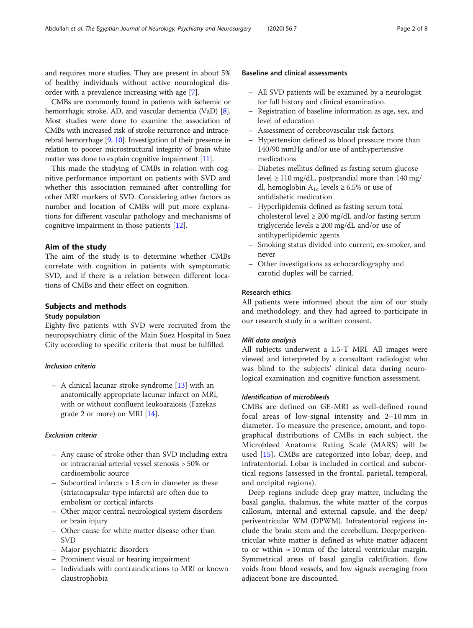and requires more studies. They are present in about 5% of healthy individuals without active neurological disorder with a prevalence increasing with age [[7\]](#page-6-0).

CMBs are commonly found in patients with ischemic or hemorrhagic stroke, AD, and vascular dementia (VaD) [[8](#page-6-0)]. Most studies were done to examine the association of CMBs with increased risk of stroke recurrence and intracerebral hemorrhage [\[9,](#page-6-0) [10](#page-6-0)]. Investigation of their presence in relation to poorer microstructural integrity of brain white matter was done to explain cognitive impairment [\[11](#page-6-0)].

This made the studying of CMBs in relation with cognitive performance important on patients with SVD and whether this association remained after controlling for other MRI markers of SVD. Considering other factors as number and location of CMBs will put more explanations for different vascular pathology and mechanisms of cognitive impairment in those patients [[12\]](#page-7-0).

## Aim of the study

The aim of the study is to determine whether CMBs correlate with cognition in patients with symptomatic SVD, and if there is a relation between different locations of CMBs and their effect on cognition.

## Subjects and methods

## Study population

Eighty-five patients with SVD were recruited from the neuropsychiatry clinic of the Main Suez Hospital in Suez City according to specific criteria that must be fulfilled.

## Inclusion criteria

– A clinical lacunar stroke syndrome [\[13\]](#page-7-0) with an anatomically appropriate lacunar infarct on MRI, with or without confluent leukoaraiosis (Fazekas grade 2 or more) on MRI [[14](#page-7-0)].

#### Exclusion criteria

- Any cause of stroke other than SVD including extra or intracranial arterial vessel stenosis > 50% or cardioembolic source
- Subcortical infarcts > 1.5 cm in diameter as these (striatocapsular-type infarcts) are often due to embolism or cortical infarcts
- Other major central neurological system disorders or brain injury
- Other cause for white matter disease other than SVD
- Major psychiatric disorders
- Prominent visual or hearing impairment
- Individuals with contraindications to MRI or known claustrophobia

## Baseline and clinical assessments

- All SVD patients will be examined by a neurologist for full history and clinical examination.
- Registration of baseline information as age, sex, and level of education
- Assessment of cerebrovascular risk factors:
- Hypertension defined as blood pressure more than 140/90 mmHg and/or use of antihypertensive medications
- Diabetes mellitus defined as fasting serum glucose level  $\geq 110$  mg/dL, postprandial more than 140 mg/ dl, hemoglobin  $A_{1c}$  levels ≥ 6.5% or use of antidiabetic medication
- Hyperlipidemia defined as fasting serum total cholesterol level  $\geq 200$  mg/dL and/or fasting serum triglyceride levels  $\geq 200$  mg/dL and/or use of antihyperlipidemic agents
- Smoking status divided into current, ex-smoker, and never
- Other investigations as echocardiography and carotid duplex will be carried.

## Research ethics

All patients were informed about the aim of our study and methodology, and they had agreed to participate in our research study in a written consent.

#### MRI data analysis

All subjects underwent a 1.5-T MRI. All images were viewed and interpreted by a consultant radiologist who was blind to the subjects' clinical data during neurological examination and cognitive function assessment.

#### Identification of microbleeds

CMBs are defined on GE-MRI as well-defined round focal areas of low-signal intensity and 2–10 mm in diameter. To measure the presence, amount, and topographical distributions of CMBs in each subject, the Microbleed Anatomic Rating Scale (MARS) will be used [[15](#page-7-0)]. CMBs are categorized into lobar, deep, and infratentorial. Lobar is included in cortical and subcortical regions (assessed in the frontal, parietal, temporal, and occipital regions).

Deep regions include deep gray matter, including the basal ganglia, thalamus, the white matter of the corpus callosum, internal and external capsule, and the deep/ periventricular WM (DPWM). Infratentorial regions include the brain stem and the cerebellum. Deep/periventricular white matter is defined as white matter adjacent to or within  $\approx 10 \text{ mm}$  of the lateral ventricular margin. Symmetrical areas of basal ganglia calcification, flow voids from blood vessels, and low signals averaging from adjacent bone are discounted.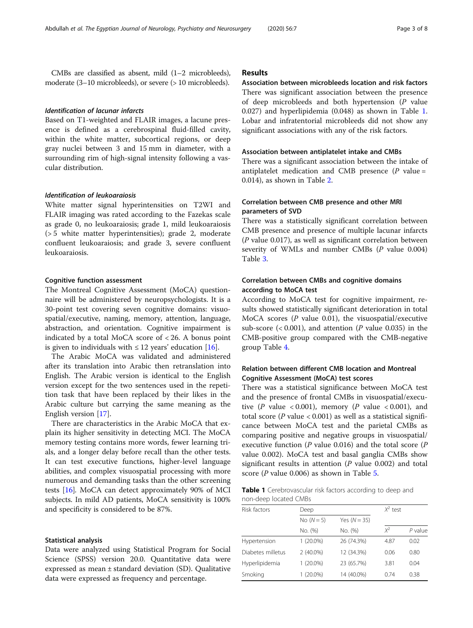CMBs are classified as absent, mild (1–2 microbleeds), moderate (3–10 microbleeds), or severe (> 10 microbleeds).

#### Identification of lacunar infarcts

Based on T1-weighted and FLAIR images, a lacune presence is defined as a cerebrospinal fluid-filled cavity, within the white matter, subcortical regions, or deep gray nuclei between 3 and 15 mm in diameter, with a surrounding rim of high-signal intensity following a vascular distribution.

## Identification of leukoaraiosis

White matter signal hyperintensities on T2WI and FLAIR imaging was rated according to the Fazekas scale as grade 0, no leukoaraiosis; grade 1, mild leukoaraiosis (> 5 white matter hyperintensities); grade 2, moderate confluent leukoaraiosis; and grade 3, severe confluent leukoaraiosis.

## Cognitive function assessment

The Montreal Cognitive Assessment (MoCA) questionnaire will be administered by neuropsychologists. It is a 30-point test covering seven cognitive domains: visuospatial/executive, naming, memory, attention, language, abstraction, and orientation. Cognitive impairment is indicated by a total MoCA score of < 26. A bonus point is given to individuals with  $\leq 12$  years' education [\[16](#page-7-0)].

The Arabic MoCA was validated and administered after its translation into Arabic then retranslation into English. The Arabic version is identical to the English version except for the two sentences used in the repetition task that have been replaced by their likes in the Arabic culture but carrying the same meaning as the English version [\[17\]](#page-7-0).

There are characteristics in the Arabic MoCA that explain its higher sensitivity in detecting MCI. The MoCA memory testing contains more words, fewer learning trials, and a longer delay before recall than the other tests. It can test executive functions, higher-level language abilities, and complex visuospatial processing with more numerous and demanding tasks than the other screening tests [[16\]](#page-7-0). MoCA can detect approximately 90% of MCI subjects. In mild AD patients, MoCA sensitivity is 100% and specificity is considered to be 87%.

## Statistical analysis

Data were analyzed using Statistical Program for Social Science (SPSS) version 20.0. Quantitative data were expressed as mean ± standard deviation (SD). Qualitative data were expressed as frequency and percentage.

## Results

Association between microbleeds location and risk factors There was significant association between the presence of deep microbleeds and both hypertension (P value 0.027) and hyperlipidemia (0.048) as shown in Table 1. Lobar and infratentorial microbleeds did not show any significant associations with any of the risk factors.

#### Association between antiplatelet intake and CMBs

There was a significant association between the intake of antiplatelet medication and CMB presence  $(P \text{ value} =$ 0.014), as shown in Table [2](#page-3-0).

## Correlation between CMB presence and other MRI parameters of SVD

There was a statistically significant correlation between CMB presence and presence of multiple lacunar infarcts (P value 0.017), as well as significant correlation between severity of WMLs and number CMBs (P value 0.004) Table [3.](#page-3-0)

## Correlation between CMBs and cognitive domains according to MoCA test

According to MoCA test for cognitive impairment, results showed statistically significant deterioration in total MoCA scores  $(P$  value 0.01), the visuospatial/executive sub-score  $(< 0.001$ ), and attention (P value 0.035) in the CMB-positive group compared with the CMB-negative group Table [4.](#page-4-0)

## Relation between different CMB location and Montreal Cognitive Assessment (MoCA) test scores

There was a statistical significance between MoCA test and the presence of frontal CMBs in visuospatial/executive (P value < 0.001), memory (P value < 0.001), and total score ( $P$  value < 0.001) as well as a statistical significance between MoCA test and the parietal CMBs as comparing positive and negative groups in visuospatial/ executive function ( $P$  value 0.016) and the total score ( $P$ value 0.002). MoCA test and basal ganglia CMBs show significant results in attention  $(P \text{ value } 0.002)$  and total score ( $P$  value 0.006) as shown in Table [5.](#page-4-0)

Table 1 Cerebrovascular risk factors according to deep and non-deep located CMBs

| Risk factors      | Deep        | $X^2$ test     |       |           |
|-------------------|-------------|----------------|-------|-----------|
|                   | No $(N=5)$  | Yes $(N = 35)$ |       |           |
|                   | No. (%)     | No. (%)        | $X^2$ | $P$ value |
| Hypertension      | 1 (20.0%)   | 26 (74.3%)     | 4.87  | 0.02      |
| Diabetes milletus | $2(40.0\%)$ | 12 (34.3%)     | 0.06  | 0.80      |
| Hyperlipidemia    | 1 (20.0%)   | 23 (65.7%)     | 3.81  | 0.04      |
| Smoking           | 1 (20.0%)   | 14 (40.0%)     | 0.74  | 0.38      |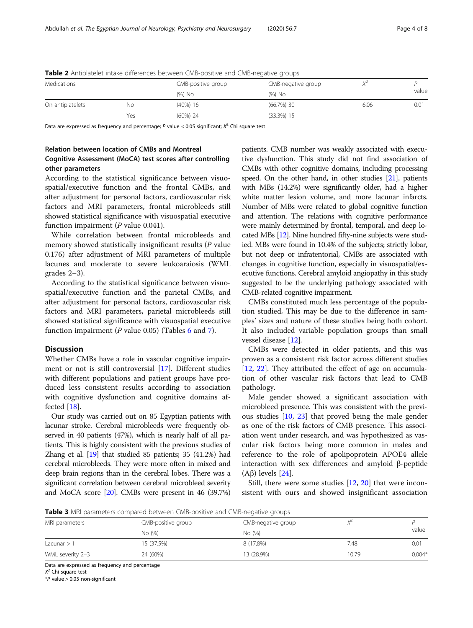| <b>TWATE</b> This place of model and ended because the positive and end megative groups. |          |                    |                    |      |       |  |
|------------------------------------------------------------------------------------------|----------|--------------------|--------------------|------|-------|--|
| Medications                                                                              |          | CMB-positive group | CMB-negative group |      |       |  |
|                                                                                          | $(%)$ No |                    | $(%)$ No           |      | value |  |
| On antiplatelets                                                                         | Νo       | $(40\%)$ 16        | $(66.7%)$ 30       | 6.06 | 0.01  |  |
|                                                                                          | Yes      | $(60\%)$ 24        | $(33.3\%)$ 15      |      |       |  |

<span id="page-3-0"></span>**Table 2** Antiplatelet intake differences between CMB-positive and CMB-negative groups

Data are expressed as frequency and percentage; P value < 0.05 significant;  $X^2$  Chi square test

## Relation between location of CMBs and Montreal Cognitive Assessment (MoCA) test scores after controlling other parameters

According to the statistical significance between visuospatial/executive function and the frontal CMBs, and after adjustment for personal factors, cardiovascular risk factors and MRI parameters, frontal microbleeds still showed statistical significance with visuospatial executive function impairment ( $P$  value 0.041).

While correlation between frontal microbleeds and memory showed statistically insignificant results (P value 0.176) after adjustment of MRI parameters of multiple lacunes and moderate to severe leukoaraiosis (WML grades 2–3).

According to the statistical significance between visuospatial/executive function and the parietal CMBs, and after adjustment for personal factors, cardiovascular risk factors and MRI parameters, parietal microbleeds still showed statistical significance with visuospatial executive function impairment (*P* value 0.05) (Tables [6](#page-5-0) and [7\)](#page-5-0).

#### **Discussion**

Whether CMBs have a role in vascular cognitive impairment or not is still controversial [\[17](#page-7-0)]. Different studies with different populations and patient groups have produced less consistent results according to association with cognitive dysfunction and cognitive domains affected [\[18](#page-7-0)].

Our study was carried out on 85 Egyptian patients with lacunar stroke. Cerebral microbleeds were frequently observed in 40 patients (47%), which is nearly half of all patients. This is highly consistent with the previous studies of Zhang et al. [\[19\]](#page-7-0) that studied 85 patients; 35 (41.2%) had cerebral microbleeds. They were more often in mixed and deep brain regions than in the cerebral lobes. There was a significant correlation between cerebral microbleed severity and MoCA score [[20](#page-7-0)]. CMBs were present in 46 (39.7%)

patients. CMB number was weakly associated with executive dysfunction. This study did not find association of CMBs with other cognitive domains, including processing speed. On the other hand, in other studies [\[21\]](#page-7-0), patients with MBs (14.2%) were significantly older, had a higher white matter lesion volume, and more lacunar infarcts. Number of MBs were related to global cognitive function and attention. The relations with cognitive performance were mainly determined by frontal, temporal, and deep located MBs [[12](#page-7-0)]. Nine hundred fifty-nine subjects were studied. MBs were found in 10.4% of the subjects; strictly lobar, but not deep or infratentorial, CMBs are associated with changes in cognitive function, especially in visuospatial/executive functions. Cerebral amyloid angiopathy in this study suggested to be the underlying pathology associated with CMB-related cognitive impairment.

CMBs constituted much less percentage of the population studied. This may be due to the difference in samples' sizes and nature of these studies being both cohort. It also included variable population groups than small vessel disease [[12\]](#page-7-0).

CMBs were detected in older patients, and this was proven as a consistent risk factor across different studies [[12,](#page-7-0) [22](#page-7-0)]. They attributed the effect of age on accumulation of other vascular risk factors that lead to CMB pathology.

Male gender showed a significant association with microbleed presence. This was consistent with the previous studies [\[10](#page-6-0), [23](#page-7-0)] that proved being the male gender as one of the risk factors of CMB presence. This association went under research, and was hypothesized as vascular risk factors being more common in males and reference to the role of apolipoprotein APOE4 allele interaction with sex differences and amyloid β-peptide (Aβ) levels [\[24](#page-7-0)].

Still, there were some studies [\[12](#page-7-0), [20](#page-7-0)] that were inconsistent with ours and showed insignificant association

**Table 3** MRI parameters compared between CMB-positive and CMB-negative groups

| MRI parameters   | CMB-positive group | CMB-negative group | γ2    |          |
|------------------|--------------------|--------------------|-------|----------|
|                  | No (%)             | No (%)             |       | value    |
| Lacunar $>1$     | 15 (37.5%)         | 8 (17.8%)          | 7.48  | 0.01     |
| WML severity 2-3 | 24 (60%)           | 13 (28.9%)         | 10.79 | $0.004*$ |

Data are expressed as frequency and percentage

 $X^2$  Chi square test

 $*P$  value  $> 0.05$  non-significant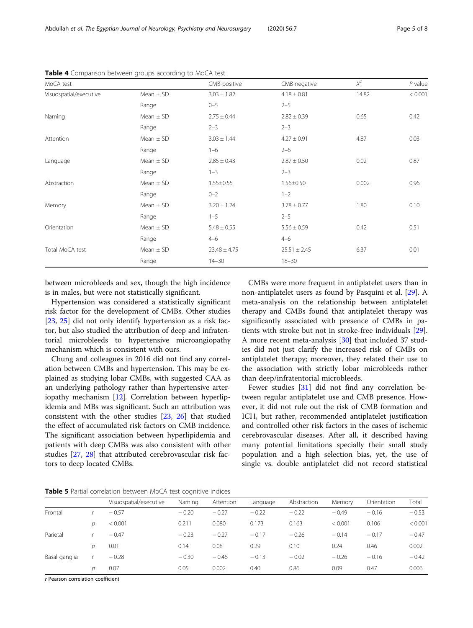<span id="page-4-0"></span>Abdullah et al. The Egyptian Journal of Neurology, Psychiatry and Neurosurgery (2020) 56:7 Page 5 of 8

| MoCA test              |               | CMB-positive     | CMB-negative     | $X^2$ | $P$ value |
|------------------------|---------------|------------------|------------------|-------|-----------|
| Visuospatial/executive | Mean $\pm$ SD | $3.03 \pm 1.82$  | $4.18 \pm 0.81$  | 14.82 | < 0.001   |
|                        | Range         | $0 - 5$          | $2 - 5$          |       |           |
| Naming                 | Mean $\pm$ SD | $2.75 \pm 0.44$  | $2.82 \pm 0.39$  | 0.65  | 0.42      |
|                        | Range         | $2 - 3$          | $2 - 3$          |       |           |
| Attention              | Mean $\pm$ SD | $3.03 \pm 1.44$  | $4.27 \pm 0.91$  | 4.87  | 0.03      |
|                        | Range         | $1 - 6$          | $2 - 6$          |       |           |
| Language               | Mean $\pm$ SD | $2.85 \pm 0.43$  | $2.87 \pm 0.50$  | 0.02  | 0.87      |
|                        | Range         | $1 - 3$          | $2 - 3$          |       |           |
| Abstraction            | Mean $\pm$ SD | $1.55 \pm 0.55$  | $1.56 \pm 0.50$  | 0.002 | 0.96      |
|                        | Range         | $0 - 2$          | $1 - 2$          |       |           |
| Memory                 | Mean $\pm$ SD | $3.20 \pm 1.24$  | $3.78 \pm 0.77$  | 1.80  | 0.10      |
|                        | Range         | $1 - 5$          | $2 - 5$          |       |           |
| Orientation            | Mean $\pm$ SD | $5.48 \pm 0.55$  | $5.56 \pm 0.59$  | 0.42  | 0.51      |
|                        | Range         | $4 - 6$          | $4 - 6$          |       |           |
| Total MoCA test        | Mean $\pm$ SD | $23.48 \pm 4.75$ | $25.51 \pm 2.45$ | 6.37  | 0.01      |
|                        | Range         | $14 - 30$        | $18 - 30$        |       |           |

Table 4 Comparison between groups according to MoCA test

between microbleeds and sex, though the high incidence is in males, but were not statistically significant.

Hypertension was considered a statistically significant risk factor for the development of CMBs. Other studies [[23,](#page-7-0) [25](#page-7-0)] did not only identify hypertension as a risk factor, but also studied the attribution of deep and infratentorial microbleeds to hypertensive microangiopathy mechanism which is consistent with ours.

Chung and colleagues in 2016 did not find any correlation between CMBs and hypertension. This may be explained as studying lobar CMBs, with suggested CAA as an underlying pathology rather than hypertensive arteriopathy mechanism [\[12\]](#page-7-0). Correlation between hyperlipidemia and MBs was significant. Such an attribution was consistent with the other studies [[23](#page-7-0), [26](#page-7-0)] that studied the effect of accumulated risk factors on CMB incidence. The significant association between hyperlipidemia and patients with deep CMBs was also consistent with other studies [[27,](#page-7-0) [28\]](#page-7-0) that attributed cerebrovascular risk factors to deep located CMBs.

CMBs were more frequent in antiplatelet users than in non-antiplatelet users as found by Pasquini et al. [\[29\]](#page-7-0). A meta-analysis on the relationship between antiplatelet therapy and CMBs found that antiplatelet therapy was significantly associated with presence of CMBs in patients with stroke but not in stroke-free individuals [\[29](#page-7-0)]. A more recent meta-analysis [\[30\]](#page-7-0) that included 37 studies did not just clarify the increased risk of CMBs on antiplatelet therapy; moreover, they related their use to the association with strictly lobar microbleeds rather than deep/infratentorial microbleeds.

Fewer studies [\[31](#page-7-0)] did not find any correlation between regular antiplatelet use and CMB presence. However, it did not rule out the risk of CMB formation and ICH, but rather, recommended antiplatelet justification and controlled other risk factors in the cases of ischemic cerebrovascular diseases. After all, it described having many potential limitations specially their small study population and a high selection bias, yet, the use of single vs. double antiplatelet did not record statistical

Table 5 Partial correlation between MoCA test cognitive indices

|               |   | Visuospatial/executive | Naming  | Attention | Language | Abstraction | Memory  | Orientation | Total   |
|---------------|---|------------------------|---------|-----------|----------|-------------|---------|-------------|---------|
| Frontal       |   | $-0.57$                | $-0.20$ | $-0.27$   | $-0.22$  | $-0.22$     | $-0.49$ | $-0.16$     | $-0.53$ |
|               | D | < 0.001                | 0.211   | 0.080     | 0.173    | 0.163       | < 0.001 | 0.106       | < 0.001 |
| Parietal      |   | $-0.47$                | $-0.23$ | $-0.27$   | $-0.17$  | $-0.26$     | $-0.14$ | $-0.17$     | $-0.47$ |
|               | D | 0.01                   | 0.14    | 0.08      | 0.29     | 0.10        | 0.24    | 0.46        | 0.002   |
| Basal ganglia |   | $-0.28$                | $-0.30$ | $-0.46$   | $-0.13$  | $-0.02$     | $-0.26$ | $-0.16$     | $-0.42$ |
|               | D | 0.07                   | 0.05    | 0.002     | 0.40     | 0.86        | 0.09    | 0.47        | 0.006   |

r Pearson correlation coefficient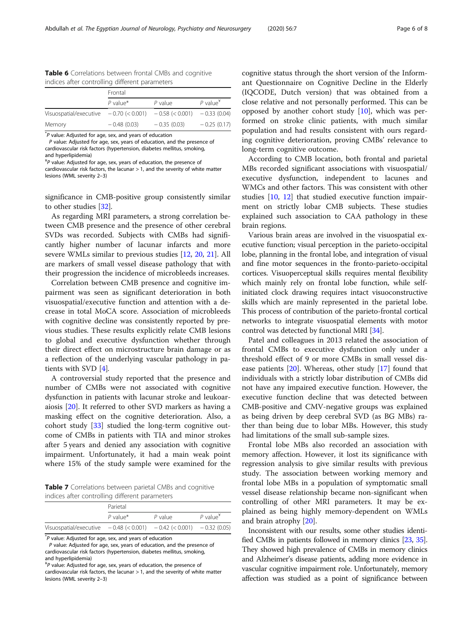<span id="page-5-0"></span>Table 6 Correlations between frontal CMBs and cognitive indices after controlling different parameters

|                                                                             | Frontal       |               |                        |  |
|-----------------------------------------------------------------------------|---------------|---------------|------------------------|--|
|                                                                             | $P$ value*    | $P$ value     | $P$ value <sup>*</sup> |  |
| Visuospatial/executive $-0.70 \le 0.001$ $-0.58 \le 0.001$ $-0.33 \le 0.04$ |               |               |                        |  |
| Memory                                                                      | $-0.48(0.03)$ | $-0.35(0.03)$ | $-0.25(0.17)$          |  |

\* P value: Adjusted for age, sex, and years of education

P value: Adjusted for age, sex, years of education, and the presence of cardiovascular risk factors (hypertension, diabetes mellitus, smoking, and hyperlipidemia)

¥ P value: Adjusted for age, sex, years of education, the presence of cardiovascular risk factors, the lacunar > 1, and the severity of white matter lesions (WML severity 2–3)

significance in CMB-positive group consistently similar to other studies [[32\]](#page-7-0).

As regarding MRI parameters, a strong correlation between CMB presence and the presence of other cerebral SVDs was recorded. Subjects with CMBs had significantly higher number of lacunar infarcts and more severe WMLs similar to previous studies [\[12](#page-7-0), [20](#page-7-0), [21](#page-7-0)]. All are markers of small vessel disease pathology that with their progression the incidence of microbleeds increases.

Correlation between CMB presence and cognitive impairment was seen as significant deterioration in both visuospatial/executive function and attention with a decrease in total MoCA score. Association of microbleeds with cognitive decline was consistently reported by previous studies. These results explicitly relate CMB lesions to global and executive dysfunction whether through their direct effect on microstructure brain damage or as a reflection of the underlying vascular pathology in patients with SVD [[4\]](#page-6-0).

A controversial study reported that the presence and number of CMBs were not associated with cognitive dysfunction in patients with lacunar stroke and leukoaraiosis [\[20](#page-7-0)]. It referred to other SVD markers as having a masking effect on the cognitive deterioration. Also, a cohort study [[33](#page-7-0)] studied the long-term cognitive outcome of CMBs in patients with TIA and minor strokes after 5 years and denied any association with cognitive impairment. Unfortunately, it had a main weak point where 15% of the study sample were examined for the

Table 7 Correlations between parietal CMBs and cognitive indices after controlling different parameters

|                                                                             | Parietal |         |             |  |
|-----------------------------------------------------------------------------|----------|---------|-------------|--|
|                                                                             | P value* | P value | P value $*$ |  |
| Visuospatial/executive $-0.48 \le 0.001$ $-0.42 \le 0.001$ $-0.32 \le 0.05$ |          |         |             |  |

\* P value: Adjusted for age, sex, and years of education

P value: Adjusted for age, sex, years of education, and the presence of cardiovascular risk factors (hypertension, diabetes mellitus, smoking, and hyperlipidemia)

¥ P value: Adjusted for age, sex, years of education, the presence of cardiovascular risk factors, the lacunar > 1, and the severity of white matter lesions (WML severity 2–3)

cognitive status through the short version of the Informant Questionnaire on Cognitive Decline in the Elderly (IQCODE, Dutch version) that was obtained from a close relative and not personally performed. This can be opposed by another cohort study [[10\]](#page-6-0), which was performed on stroke clinic patients, with much similar population and had results consistent with ours regarding cognitive deterioration, proving CMBs' relevance to long-term cognitive outcome.

According to CMB location, both frontal and parietal MBs recorded significant associations with visuospatial/ executive dysfunction, independent to lacunes and WMCs and other factors. This was consistent with other studies [\[10](#page-6-0), [12](#page-7-0)] that studied executive function impairment on strictly lobar CMB subjects. These studies explained such association to CAA pathology in these brain regions.

Various brain areas are involved in the visuospatial executive function; visual perception in the parieto-occipital lobe, planning in the frontal lobe, and integration of visual and fine motor sequences in the fronto-parieto-occipital cortices. Visuoperceptual skills requires mental flexibility which mainly rely on frontal lobe function, while selfinitiated clock drawing requires intact visuoconstructive skills which are mainly represented in the parietal lobe. This process of contribution of the parieto-frontal cortical networks to integrate visuospatial elements with motor control was detected by functional MRI [[34](#page-7-0)].

Patel and colleagues in 2013 related the association of frontal CMBs to executive dysfunction only under a threshold effect of 9 or more CMBs in small vessel disease patients  $[20]$  $[20]$ . Whereas, other study  $[17]$  $[17]$  found that individuals with a strictly lobar distribution of CMBs did not have any impaired executive function. However, the executive function decline that was detected between CMB-positive and CMV-negative groups was explained as being driven by deep cerebral SVD (as BG MBs) rather than being due to lobar MBs. However, this study had limitations of the small sub-sample sizes.

Frontal lobe MBs also recorded an association with memory affection. However, it lost its significance with regression analysis to give similar results with previous study. The association between working memory and frontal lobe MBs in a population of symptomatic small vessel disease relationship became non-significant when controlling of other MRI parameters. It may be explained as being highly memory-dependent on WMLs and brain atrophy [\[20](#page-7-0)].

Inconsistent with our results, some other studies identified CMBs in patients followed in memory clinics [\[23,](#page-7-0) [35](#page-7-0)]. They showed high prevalence of CMBs in memory clinics and Alzheimer's disease patients, adding more evidence in vascular cognitive impairment role. Unfortunately, memory affection was studied as a point of significance between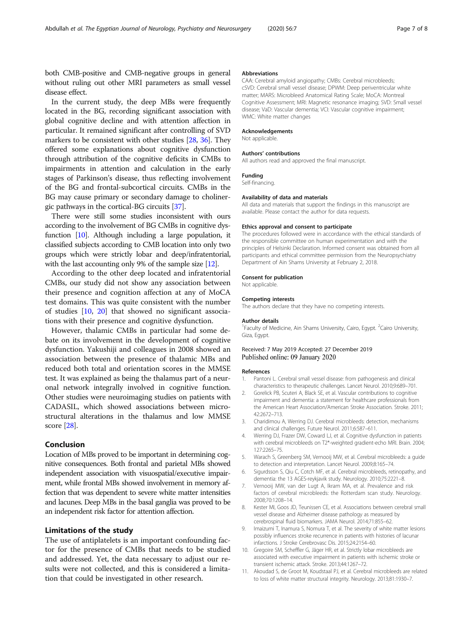<span id="page-6-0"></span>both CMB-positive and CMB-negative groups in general without ruling out other MRI parameters as small vessel disease effect.

In the current study, the deep MBs were frequently located in the BG, recording significant association with global cognitive decline and with attention affection in particular. It remained significant after controlling of SVD markers to be consistent with other studies [[28](#page-7-0), [36\]](#page-7-0). They offered some explanations about cognitive dysfunction through attribution of the cognitive deficits in CMBs to impairments in attention and calculation in the early stages of Parkinson's disease, thus reflecting involvement of the BG and frontal-subcortical circuits. CMBs in the BG may cause primary or secondary damage to cholinergic pathways in the cortical-BG circuits [\[37\]](#page-7-0).

There were still some studies inconsistent with ours according to the involvement of BG CMBs in cognitive dysfunction [10]. Although including a large population, it classified subjects according to CMB location into only two groups which were strictly lobar and deep/infratentorial, with the last accounting only 9% of the sample size [\[12\]](#page-7-0).

According to the other deep located and infratentorial CMBs, our study did not show any association between their presence and cognition affection at any of MoCA test domains. This was quite consistent with the number of studies [10, [20](#page-7-0)] that showed no significant associations with their presence and cognitive dysfunction.

However, thalamic CMBs in particular had some debate on its involvement in the development of cognitive dysfunction. Yakushiji and colleagues in 2008 showed an association between the presence of thalamic MBs and reduced both total and orientation scores in the MMSE test. It was explained as being the thalamus part of a neuronal network integrally involved in cognitive function. Other studies were neuroimaging studies on patients with CADASIL, which showed associations between microstructural alterations in the thalamus and low MMSE score [\[28\]](#page-7-0).

## Conclusion

Location of MBs proved to be important in determining cognitive consequences. Both frontal and parietal MBs showed independent association with visuospatial/executive impairment, while frontal MBs showed involvement in memory affection that was dependent to severe white matter intensities and lacunes. Deep MBs in the basal ganglia was proved to be an independent risk factor for attention affection.

#### Limitations of the study

The use of antiplatelets is an important confounding factor for the presence of CMBs that needs to be studied and addressed. Yet, the data necessary to adjust our results were not collected, and this is considered a limitation that could be investigated in other research.

#### Abbreviations

CAA: Cerebral amyloid angiopathy; CMBs: Cerebral microbleeds; cSVD: Cerebral small vessel disease; DPWM: Deep periventricular white matter; MARS: Microbleed Anatomical Rating Scale; MoCA: Montreal Cognitive Assessment; MRI: Magnetic resonance imaging; SVD: Small vessel disease; VaD: Vascular dementia; VCI: Vascular cognitive impairment; WMC: White matter changes

#### Acknowledgements

Not applicable.

#### Authors' contributions

All authors read and approved the final manuscript.

#### Funding

Self-financing.

#### Availability of data and materials

All data and materials that support the findings in this manuscript are available. Please contact the author for data requests.

#### Ethics approval and consent to participate

The procedures followed were in accordance with the ethical standards of the responsible committee on human experimentation and with the principles of Helsinki Declaration. Informed consent was obtained from all participants and ethical committee permission from the Neuropsychiatry Department of Ain Shams University at February 2, 2018.

#### Consent for publication

Not applicable.

#### Competing interests

The authors declare that they have no competing interests.

#### Author details

<sup>1</sup> Faculty of Medicine, Ain Shams University, Cairo, Egypt. <sup>2</sup>Cairo University Giza, Egypt.

#### Received: 7 May 2019 Accepted: 27 December 2019 Published online: 09 January 2020

#### References

- 1. Pantoni L. Cerebral small vessel disease: from pathogenesis and clinical characteristics to therapeutic challenges. Lancet Neurol. 2010;9:689–701.
- 2. Gorelick PB, Scuteri A, Black SE, et al. Vascular contributions to cognitive impairment and dementia: a statement for healthcare professionals from the American Heart Association/American Stroke Association. Stroke. 2011; 42:2672–713.
- 3. Charidimou A, Werring DJ. Cerebral microbleeds: detection, mechanisms and clinical challenges. Future Neurol. 2011;6:587–611.
- 4. Werring DJ, Frazer DW, Coward LJ, et al. Cognitive dysfunction in patients with cerebral microbleeds on T2\*-weighted gradient-echo MRI. Brain. 2004; 127:2265–75.
- 5. Warach S, Greenberg SM, Vernooij MW, et al. Cerebral microbleeds: a guide to detection and interpretation. Lancet Neurol. 2009;8:165–74.
- 6. Sigurdsson S, Qiu C, Cotch MF, et al. Cerebral microbleeds, retinopathy, and dementia: the 13 AGES-reykjavik study. Neurology. 2010;75:2221–8.
- 7. Vernooij MW, van der Lugt A, Ikram MA, et al. Prevalence and risk factors of cerebral microbleeds: the Rotterdam scan study. Neurology. 2008;70:1208–14.
- 8. Kester MI, Goos JD, Teunissen CE, et al. Associations between cerebral small vessel disease and Alzheimer disease pathology as measured by cerebrospinal fluid biomarkers. JAMA Neurol. 2014;71:855–62.
- 9. Imaizumi T, Inamura S, Nomura T, et al. The severity of white matter lesions possibly influences stroke recurrence in patients with histories of lacunar infarctions. J Stroke Cerebrovasc Dis. 2015;24:2154–60.
- 10. Gregoire SM, Scheffler G, Jäger HR, et al. Strictly lobar microbleeds are associated with executive impairment in patients with ischemic stroke or transient ischemic attack. Stroke. 2013;44:1267–72.
- 11. Akoudad S, de Groot M, Koudstaal PJ, et al. Cerebral microbleeds are related to loss of white matter structural integrity. Neurology. 2013;81:1930–7.